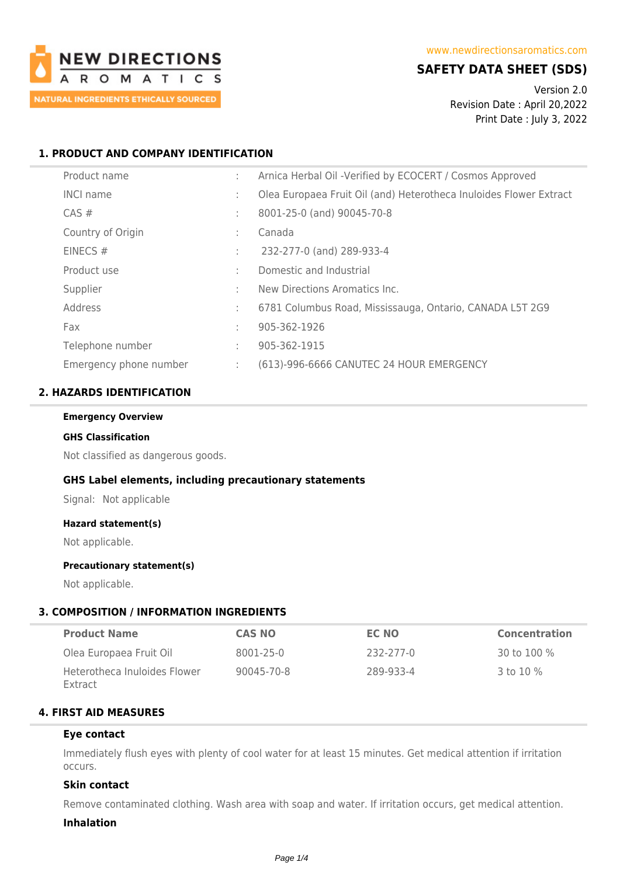

# **SAFETY DATA SHEET (SDS)**

Version 2.0 Revision Date : April 20,2022 Print Date : July 3, 2022

## **1. PRODUCT AND COMPANY IDENTIFICATION**

| Product name           |    | Arnica Herbal Oil - Verified by ECOCERT / Cosmos Approved          |
|------------------------|----|--------------------------------------------------------------------|
| <b>INCI name</b>       |    | Olea Europaea Fruit Oil (and) Heterotheca Inuloides Flower Extract |
| CAS#                   | t. | 8001-25-0 (and) 90045-70-8                                         |
| Country of Origin      |    | Canada                                                             |
| EINECS $#$             | t. | 232-277-0 (and) 289-933-4                                          |
| Product use            | t. | Domestic and Industrial                                            |
| Supplier               | t. | New Directions Aromatics Inc.                                      |
| Address                | ÷. | 6781 Columbus Road, Mississauga, Ontario, CANADA L5T 2G9           |
| Fax                    | t. | 905-362-1926                                                       |
| Telephone number       | ÷. | 905-362-1915                                                       |
| Emergency phone number | ÷. | (613)-996-6666 CANUTEC 24 HOUR EMERGENCY                           |

## **2. HAZARDS IDENTIFICATION**

### **Emergency Overview**

#### **GHS Classification**

Not classified as dangerous goods.

## **GHS Label elements, including precautionary statements**

Signal: Not applicable

### **Hazard statement(s)**

Not applicable.

### **Precautionary statement(s)**

Not applicable.

### **3. COMPOSITION / INFORMATION INGREDIENTS**

| <b>Product Name</b>                     | <b>CAS NO</b> | EC NO     | <b>Concentration</b> |
|-----------------------------------------|---------------|-----------|----------------------|
| Olea Europaea Fruit Oil                 | 8001-25-0     | 232-277-0 | 30 to 100 %          |
| Heterotheca Inuloides Flower<br>Extract | 90045-70-8    | 289-933-4 | 3 to 10 %            |

## **4. FIRST AID MEASURES**

### **Eye contact**

Immediately flush eyes with plenty of cool water for at least 15 minutes. Get medical attention if irritation occurs.

### **Skin contact**

Remove contaminated clothing. Wash area with soap and water. If irritation occurs, get medical attention.

#### **Inhalation**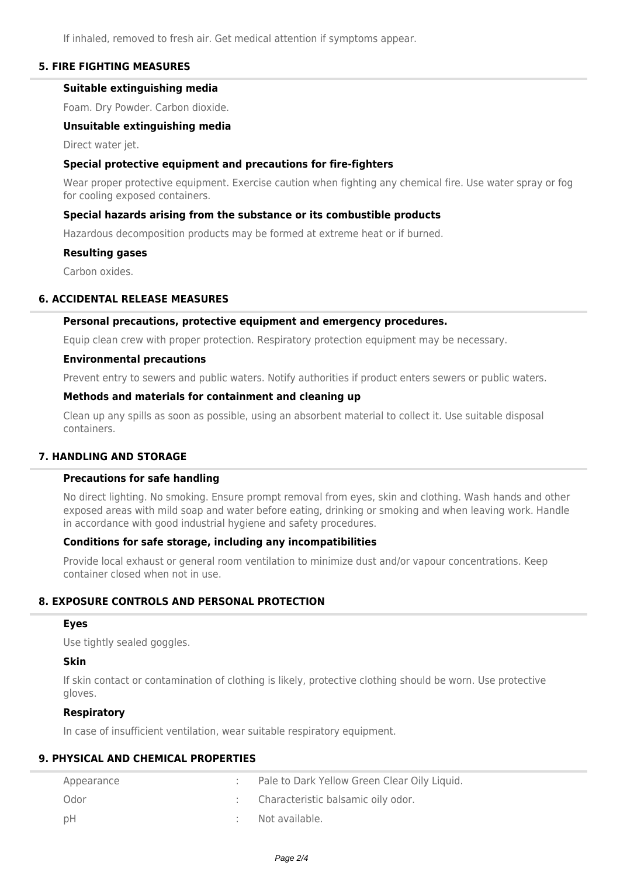If inhaled, removed to fresh air. Get medical attention if symptoms appear.

### **5. FIRE FIGHTING MEASURES**

### **Suitable extinguishing media**

Foam. Dry Powder. Carbon dioxide.

#### **Unsuitable extinguishing media**

Direct water jet.

#### **Special protective equipment and precautions for fire-fighters**

Wear proper protective equipment. Exercise caution when fighting any chemical fire. Use water spray or fog for cooling exposed containers.

### **Special hazards arising from the substance or its combustible products**

Hazardous decomposition products may be formed at extreme heat or if burned.

#### **Resulting gases**

Carbon oxides.

#### **6. ACCIDENTAL RELEASE MEASURES**

#### **Personal precautions, protective equipment and emergency procedures.**

Equip clean crew with proper protection. Respiratory protection equipment may be necessary.

#### **Environmental precautions**

Prevent entry to sewers and public waters. Notify authorities if product enters sewers or public waters.

#### **Methods and materials for containment and cleaning up**

Clean up any spills as soon as possible, using an absorbent material to collect it. Use suitable disposal containers.

### **7. HANDLING AND STORAGE**

#### **Precautions for safe handling**

No direct lighting. No smoking. Ensure prompt removal from eyes, skin and clothing. Wash hands and other exposed areas with mild soap and water before eating, drinking or smoking and when leaving work. Handle in accordance with good industrial hygiene and safety procedures.

#### **Conditions for safe storage, including any incompatibilities**

Provide local exhaust or general room ventilation to minimize dust and/or vapour concentrations. Keep container closed when not in use.

### **8. EXPOSURE CONTROLS AND PERSONAL PROTECTION**

### **Eyes**

Use tightly sealed goggles.

## **Skin**

If skin contact or contamination of clothing is likely, protective clothing should be worn. Use protective gloves.

## **Respiratory**

In case of insufficient ventilation, wear suitable respiratory equipment.

## **9. PHYSICAL AND CHEMICAL PROPERTIES**

| Appearance | Pale to Dark Yellow Green Clear Oily Liquid. |
|------------|----------------------------------------------|
| Odor       | Characteristic balsamic oily odor.           |
| – pH       | Not available.                               |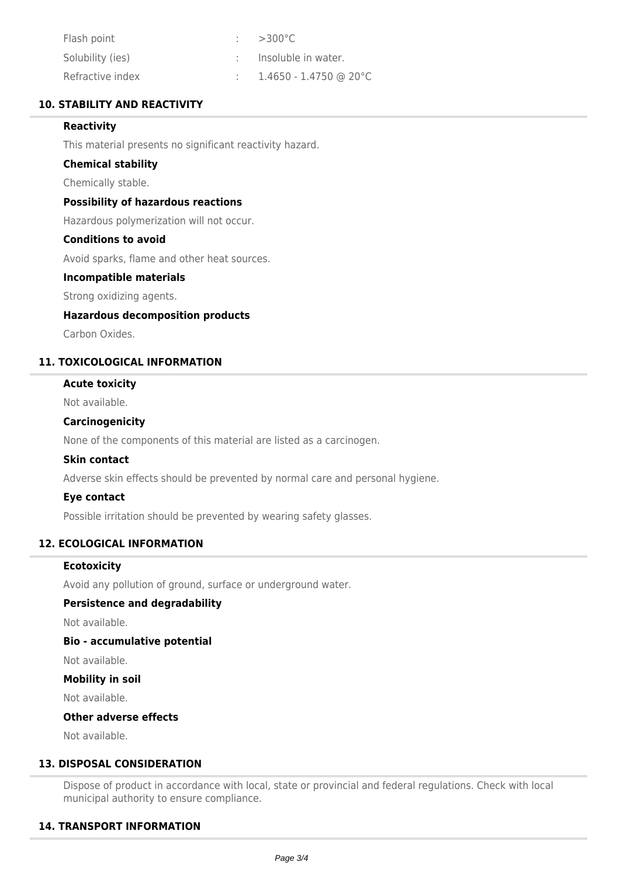| Flash point      | $>300^{\circ}$ C       |
|------------------|------------------------|
| Solubility (ies) | Insoluble in water.    |
| Refractive index | 1.4650 - 1.4750 @ 20°C |

## **10. STABILITY AND REACTIVITY**

### **Reactivity**

This material presents no significant reactivity hazard.

#### **Chemical stability**

Chemically stable.

### **Possibility of hazardous reactions**

Hazardous polymerization will not occur.

### **Conditions to avoid**

Avoid sparks, flame and other heat sources.

#### **Incompatible materials**

Strong oxidizing agents.

### **Hazardous decomposition products**

Carbon Oxides.

## **11. TOXICOLOGICAL INFORMATION**

### **Acute toxicity**

Not available.

### **Carcinogenicity**

None of the components of this material are listed as a carcinogen.

#### **Skin contact**

Adverse skin effects should be prevented by normal care and personal hygiene.

### **Eye contact**

Possible irritation should be prevented by wearing safety glasses.

### **12. ECOLOGICAL INFORMATION**

#### **Ecotoxicity**

Avoid any pollution of ground, surface or underground water.

#### **Persistence and degradability**

Not available.

#### **Bio - accumulative potential**

Not available.

### **Mobility in soil**

Not available.

### **Other adverse effects**

Not available.

### **13. DISPOSAL CONSIDERATION**

Dispose of product in accordance with local, state or provincial and federal regulations. Check with local municipal authority to ensure compliance.

### **14. TRANSPORT INFORMATION**